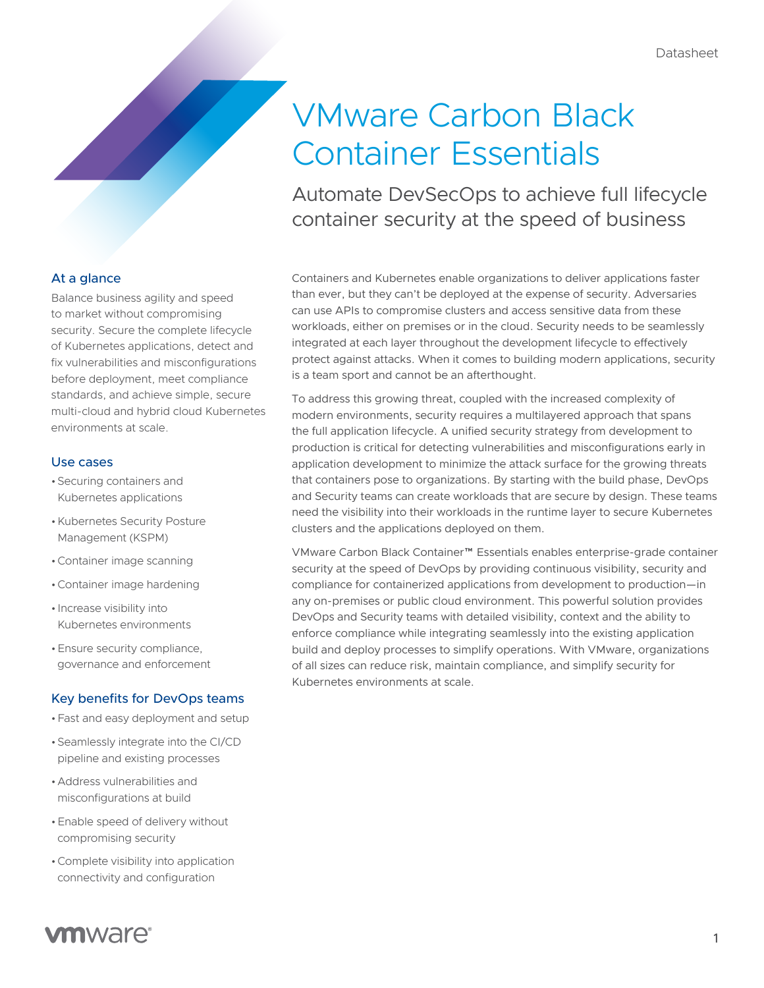# VMware Carbon Black Container Essentials

Automate DevSecOps to achieve full lifecycle container security at the speed of business

Containers and Kubernetes enable organizations to deliver applications faster than ever, but they can't be deployed at the expense of security. Adversaries can use APIs to compromise clusters and access sensitive data from these workloads, either on premises or in the cloud. Security needs to be seamlessly integrated at each layer throughout the development lifecycle to effectively protect against attacks. When it comes to building modern applications, security is a team sport and cannot be an afterthought.

To address this growing threat, coupled with the increased complexity of modern environments, security requires a multilayered approach that spans the full application lifecycle. A unified security strategy from development to production is critical for detecting vulnerabilities and misconfigurations early in application development to minimize the attack surface for the growing threats that containers pose to organizations. By starting with the build phase, DevOps and Security teams can create workloads that are secure by design. These teams need the visibility into their workloads in the runtime layer to secure Kubernetes clusters and the applications deployed on them.

VMware Carbon Black Container™ Essentials enables enterprise-grade container security at the speed of DevOps by providing continuous visibility, security and compliance for containerized applications from development to production—in any on-premises or public cloud environment. This powerful solution provides DevOps and Security teams with detailed visibility, context and the ability to enforce compliance while integrating seamlessly into the existing application build and deploy processes to simplify operations. With VMware, organizations of all sizes can reduce risk, maintain compliance, and simplify security for Kubernetes environments at scale.

# At a glance

Balance business agility and speed to market without compromising security. Secure the complete lifecycle of Kubernetes applications, detect and fix vulnerabilities and misconfigurations before deployment, meet compliance standards, and achieve simple, secure multi-cloud and hybrid cloud Kubernetes environments at scale.

#### Use cases

- •Securing containers and Kubernetes applications
- •Kubernetes Security Posture Management (KSPM)
- •Container image scanning
- •Container image hardening
- Increase visibility into Kubernetes environments
- •Ensure security compliance, governance and enforcement

# Key benefits for DevOps teams

- •Fast and easy deployment and setup
- •Seamlessly integrate into the CI/CD pipeline and existing processes
- •Address vulnerabilities and misconfigurations at build
- •Enable speed of delivery without compromising security
- •Complete visibility into application connectivity and configuration

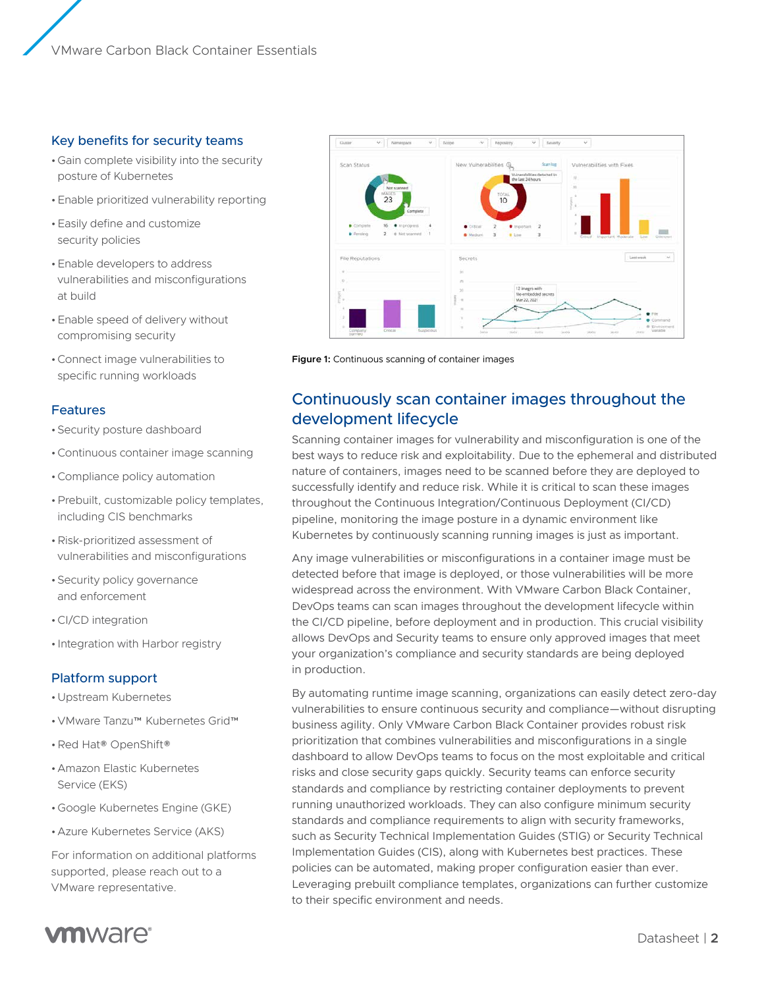### Key benefits for security teams

- •Gain complete visibility into the security posture of Kubernetes
- •Enable prioritized vulnerability reporting
- •Easily define and customize security policies
- •Enable developers to address vulnerabilities and misconfigurations at build
- •Enable speed of delivery without compromising security
- •Connect image vulnerabilities to specific running workloads

#### Features

- •Security posture dashboard
- •Continuous container image scanning
- •Compliance policy automation
- •Prebuilt, customizable policy templates, including CIS benchmarks
- •Risk-prioritized assessment of vulnerabilities and misconfigurations
- •Security policy governance and enforcement
- •CI/CD integration
- Integration with Harbor registry

#### Platform support

- •Upstream Kubernetes
- •VMware Tanzu™ Kubernetes Grid™
- •Red Hat® OpenShift®
- •Amazon Elastic Kubernetes Service (EKS)
- •Google Kubernetes Engine (GKE)
- •Azure Kubernetes Service (AKS)

For information on additional platforms supported, please reach out to a VMware representative.



**Figure 1:** Continuous scanning of container images

# Continuously scan container images throughout the development lifecycle

Scanning container images for vulnerability and misconfiguration is one of the best ways to reduce risk and exploitability. Due to the ephemeral and distributed nature of containers, images need to be scanned before they are deployed to successfully identify and reduce risk. While it is critical to scan these images throughout the Continuous Integration/Continuous Deployment (CI/CD) pipeline, monitoring the image posture in a dynamic environment like Kubernetes by continuously scanning running images is just as important.

Any image vulnerabilities or misconfigurations in a container image must be detected before that image is deployed, or those vulnerabilities will be more widespread across the environment. With VMware Carbon Black Container, DevOps teams can scan images throughout the development lifecycle within the CI/CD pipeline, before deployment and in production. This crucial visibility allows DevOps and Security teams to ensure only approved images that meet your organization's compliance and security standards are being deployed in production.

By automating runtime image scanning, organizations can easily detect zero-day vulnerabilities to ensure continuous security and compliance—without disrupting business agility. Only VMware Carbon Black Container provides robust risk prioritization that combines vulnerabilities and misconfigurations in a single dashboard to allow DevOps teams to focus on the most exploitable and critical risks and close security gaps quickly. Security teams can enforce security standards and compliance by restricting container deployments to prevent running unauthorized workloads. They can also configure minimum security standards and compliance requirements to align with security frameworks, such as Security Technical Implementation Guides (STIG) or Security Technical Implementation Guides (CIS), along with Kubernetes best practices. These policies can be automated, making proper configuration easier than ever. Leveraging prebuilt compliance templates, organizations can further customize to their specific environment and needs.

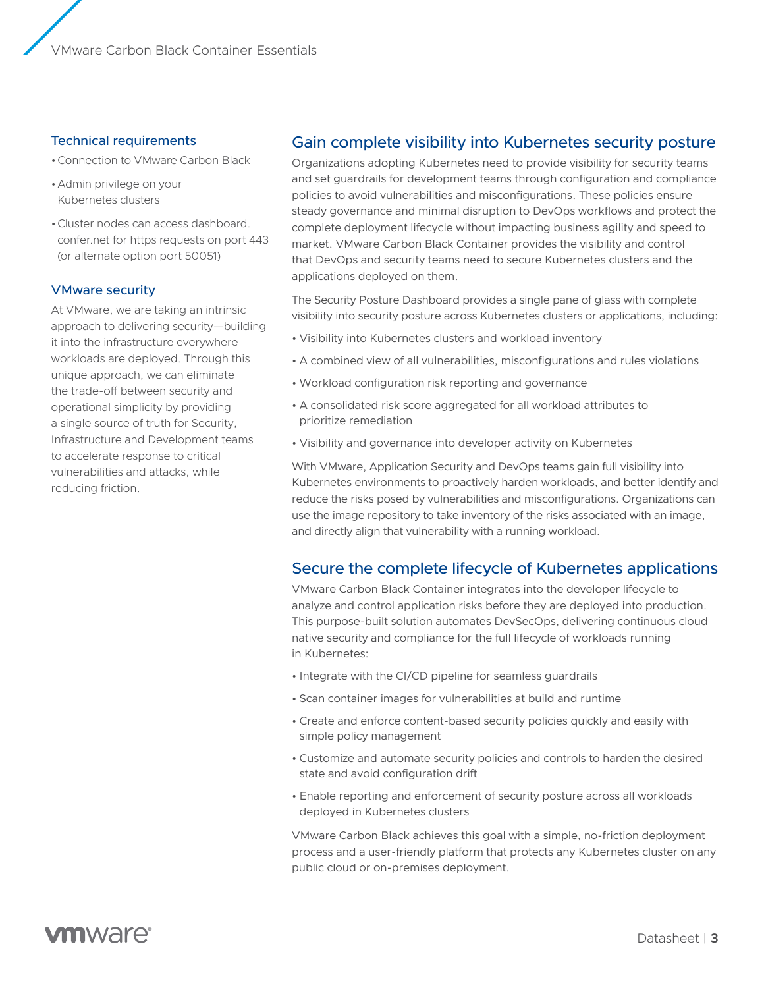#### Technical requirements

- •Connection to VMware Carbon Black
- •Admin privilege on your Kubernetes clusters
- •Cluster nodes can access dashboard. confer.net for https requests on port 443 (or alternate option port 50051)

#### VMware security

At VMware, we are taking an intrinsic approach to delivering security—building it into the infrastructure everywhere workloads are deployed. Through this unique approach, we can eliminate the trade-off between security and operational simplicity by providing a single source of truth for Security, Infrastructure and Development teams to accelerate response to critical vulnerabilities and attacks, while reducing friction.

# Gain complete visibility into Kubernetes security posture

Organizations adopting Kubernetes need to provide visibility for security teams and set guardrails for development teams through configuration and compliance policies to avoid vulnerabilities and misconfigurations. These policies ensure steady governance and minimal disruption to DevOps workflows and protect the complete deployment lifecycle without impacting business agility and speed to market. VMware Carbon Black Container provides the visibility and control that DevOps and security teams need to secure Kubernetes clusters and the applications deployed on them.

The Security Posture Dashboard provides a single pane of glass with complete visibility into security posture across Kubernetes clusters or applications, including:

- Visibility into Kubernetes clusters and workload inventory
- A combined view of all vulnerabilities, misconfigurations and rules violations
- Workload configuration risk reporting and governance
- A consolidated risk score aggregated for all workload attributes to prioritize remediation
- Visibility and governance into developer activity on Kubernetes

With VMware, Application Security and DevOps teams gain full visibility into Kubernetes environments to proactively harden workloads, and better identify and reduce the risks posed by vulnerabilities and misconfigurations. Organizations can use the image repository to take inventory of the risks associated with an image, and directly align that vulnerability with a running workload.

# Secure the complete lifecycle of Kubernetes applications

VMware Carbon Black Container integrates into the developer lifecycle to analyze and control application risks before they are deployed into production. This purpose-built solution automates DevSecOps, delivering continuous cloud native security and compliance for the full lifecycle of workloads running in Kubernetes:

- Integrate with the CI/CD pipeline for seamless guardrails
- Scan container images for vulnerabilities at build and runtime
- Create and enforce content-based security policies quickly and easily with simple policy management
- Customize and automate security policies and controls to harden the desired state and avoid configuration drift
- Enable reporting and enforcement of security posture across all workloads deployed in Kubernetes clusters

VMware Carbon Black achieves this goal with a simple, no-friction deployment process and a user-friendly platform that protects any Kubernetes cluster on any public cloud or on-premises deployment.

# **vm**ware<sup>®</sup>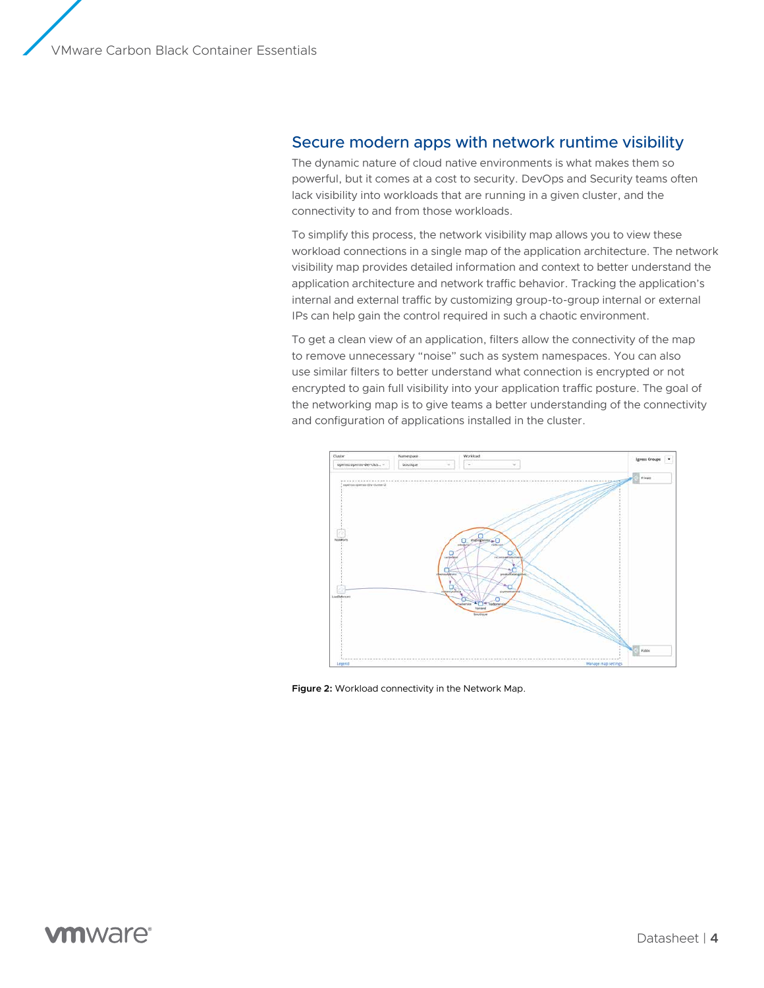## Secure modern apps with network runtime visibility

The dynamic nature of cloud native environments is what makes them so powerful, but it comes at a cost to security. DevOps and Security teams often lack visibility into workloads that are running in a given cluster, and the connectivity to and from those workloads.

To simplify this process, the network visibility map allows you to view these workload connections in a single map of the application architecture. The network visibility map provides detailed information and context to better understand the application architecture and network traffic behavior. Tracking the application's internal and external traffic by customizing group-to-group internal or external IPs can help gain the control required in such a chaotic environment.

To get a clean view of an application, filters allow the connectivity of the map to remove unnecessary "noise" such as system namespaces. You can also use similar filters to better understand what connection is encrypted or not encrypted to gain full visibility into your application traffic posture. The goal of the networking map is to give teams a better understanding of the connectivity and configuration of applications installed in the cluster.



**Figure 2:** Workload connectivity in the Network Map.

# **vm**ware<sup>®</sup>